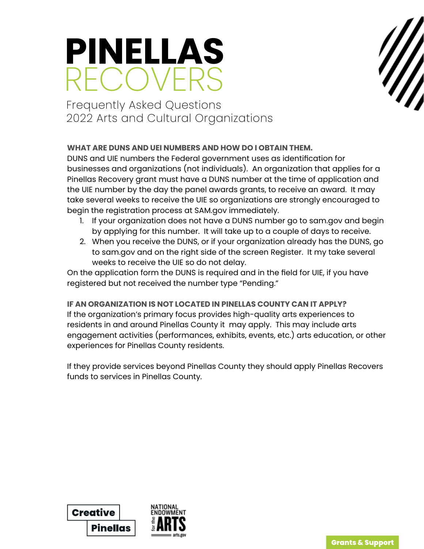

# Frequently Asked Questions 2022 Arts and Cultural Organizations

# **WHAT ARE DUNS AND UEI NUMBERS AND HOW DO I OBTAIN THEM.**

DUNS and UIE numbers the Federal government uses as identification for businesses and organizations (not individuals). An organization that applies for a Pinellas Recovery grant must have a DUNS number at the time of application and the UIE number by the day the panel awards grants, to receive an award. It may take several weeks to receive the UIE so organizations are strongly encouraged to begin the registration process at SAM.gov immediately.

- 1. If your organization does not have a DUNS number go to sam.gov and begin by applying for this number. It will take up to a couple of days to receive.
- 2. When you receive the DUNS, or if your organization already has the DUNS, go to sam.gov and on the right side of the screen Register. It my take several weeks to receive the UIE so do not delay.

On the application form the DUNS is required and in the field for UIE, if you have registered but not received the number type "Pending."

# **IF AN ORGANIZATION IS NOT LOCATED IN PINELLAS COUNTY CAN IT APPLY?**

If the organization's primary focus provides high-quality arts experiences to residents in and around Pinellas County it may apply. This may include arts engagement activities (performances, exhibits, events, etc.) arts education, or other experiences for Pinellas County residents.

If they provide services beyond Pinellas County they should apply Pinellas Recovers funds to services in Pinellas County.



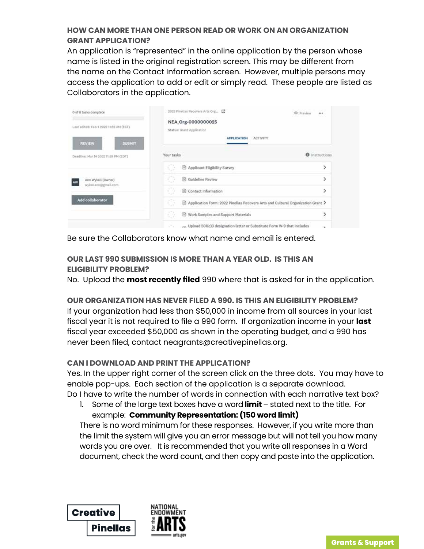# **HOW CAN MORE THAN ONE PERSON READ OR WORK ON AN ORGANIZATION GRANT APPLICATION?**

An application is "represented" in the online application by the person whose name is listed in the original registration screen. This may be different from the name on the Contact Information screen. However, multiple persons may access the application to add or edit or simply read. These people are listed as Collaborators in the application.

| 0 of 8 tasks complete                                                | 2022 Pinelias Recovers Arts Org., [7]<br>C Praylaw                                    | 559.0<br><br><b>CONTRACTOR</b> |
|----------------------------------------------------------------------|---------------------------------------------------------------------------------------|--------------------------------|
| Last edited: Feb 4 2022 11:52 AM (EST)                               | NEA_Org-0000000025<br>Status: Grant Application                                       |                                |
| <b>PLICETING FILM</b><br><b>SUBMIT</b><br><b>REVIEW</b>              | ΑΡΡΕΙΟΛΤΙΟΝ<br><b>ACTIVITY</b>                                                        |                                |
| Deadline: Mar 14 2022 11:59 PM (EDT)                                 | Your tasks                                                                            | <b>O</b> Instructions          |
|                                                                      | Œ<br>Applicant Eligibility Survey                                                     | >                              |
| Ann Wykell (Owner)<br>AW<br>wyksillann@gmall.com<br>Add collaborator | Œ<br><b>B</b> Guideline Review                                                        | >                              |
|                                                                      | Ŭ<br>Contact Information                                                              | $\,$                           |
|                                                                      | ¢5<br>Application Form: 2022 Pinellas Recovers Arts and Cultural Organization Grant > |                                |
|                                                                      | Ð.<br>Work Samples and Support Materials                                              | $\rightarrow$                  |
|                                                                      | Upload 501(c)3 designation letter or Substitute Form W-9 that includes                | ×                              |

Be sure the Collaborators know what name and email is entered.

# **OUR LAST 990 SUBMISSION IS MORE THAN A YEAR OLD. IS THIS AN ELIGIBILITY PROBLEM?**

No. Upload the **most recently filed** 990 where that is asked for in the application.

# **OUR ORGANIZATION HAS NEVER FILED A 990. IS THIS AN ELIGIBILITY PROBLEM?**

If your organization had less than \$50,000 in income from all sources in your last fiscal year it is not required to file a 990 form. If organization income in your **last** fiscal year exceeded \$50,000 as shown in the operating budget, and a 990 has never been filed, contact neagrants@creativepinellas.org.

# **CAN I DOWNLOAD AND PRINT THE APPLICATION?**

Yes. In the upper right corner of the screen click on the three dots. You may have to enable pop-ups. Each section of the application is a separate download. Do I have to write the number of words in connection with each narrative text box?

1. Some of the large text boxes have a word **limit** – stated next to the title. For example: **Community Representation: (150 word limit)**

There is no word minimum for these responses. However, if you write more than the limit the system will give you an error message but will not tell you how many words you are over. It is recommended that you write all responses in a Word document, check the word count, and then copy and paste into the application.

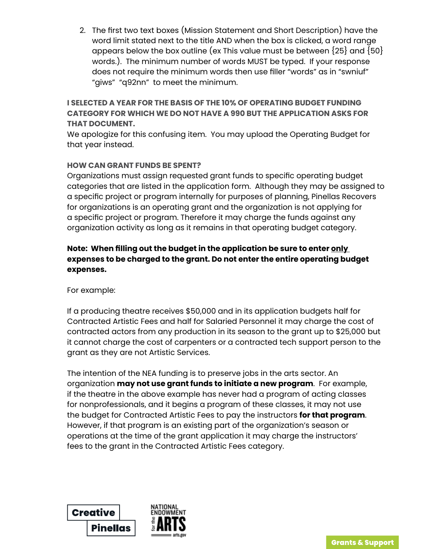2. The first two text boxes (Mission Statement and Short Description) have the word limit stated next to the title AND when the box is clicked, a word range appears below the box outline (ex This value must be between  $\{25\}$  and  $\{50\}$ words.). The minimum number of words MUST be typed. If your response does not require the minimum words then use filler "words" as in "swniuf" "giws" "q92nn" to meet the minimum.

**I SELECTED A YEAR FOR THE BASIS OF THE 10% OF OPERATING BUDGET FUNDING CATEGORY FOR WHICH WE DO NOT HAVE A 990 BUT THE APPLICATION ASKS FOR THAT DOCUMENT.** 

We apologize for this confusing item. You may upload the Operating Budget for that year instead.

# **HOW CAN GRANT FUNDS BE SPENT?**

Organizations must assign requested grant funds to specific operating budget categories that are listed in the application form. Although they may be assigned to a specific project or program internally for purposes of planning, Pinellas Recovers for organizations is an operating grant and the organization is not applying for a specific project or program. Therefore it may charge the funds against any organization activity as long as it remains in that operating budget category.

# **Note: When filling out the budget in the application be sure to enter only expenses to be charged to the grant. Do not enter the entire operating budget expenses.**

# For example:

If a producing theatre receives \$50,000 and in its application budgets half for Contracted Artistic Fees and half for Salaried Personnel it may charge the cost of contracted actors from any production in its season to the grant up to \$25,000 but it cannot charge the cost of carpenters or a contracted tech support person to the grant as they are not Artistic Services.

The intention of the NEA funding is to preserve jobs in the arts sector. An organization **may not use grant funds to initiate a new program**. For example, if the theatre in the above example has never had a program of acting classes for nonprofessionals, and it begins a program of these classes, it may not use the budget for Contracted Artistic Fees to pay the instructors **for that program**. However, if that program is an existing part of the organization's season or operations at the time of the grant application it may charge the instructors' fees to the grant in the Contracted Artistic Fees category.

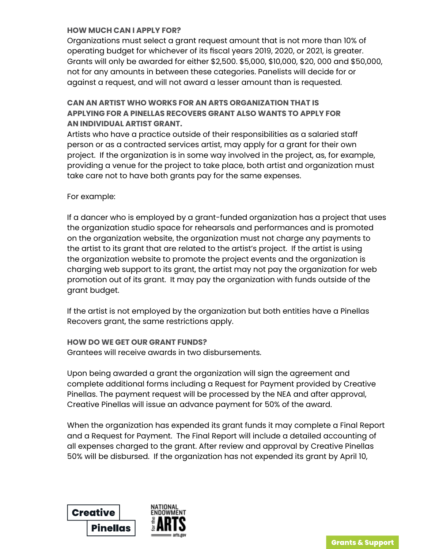#### **HOW MUCH CAN I APPLY FOR?**

Organizations must select a grant request amount that is not more than 10% of operating budget for whichever of its fiscal years 2019, 2020, or 2021, is greater. Grants will only be awarded for either \$2,500. \$5,000, \$10,000, \$20, 000 and \$50,000, not for any amounts in between these categories. Panelists will decide for or against a request, and will not award a lesser amount than is requested.

# **CAN AN ARTIST WHO WORKS FOR AN ARTS ORGANIZATION THAT IS APPLYING FOR A PINELLAS RECOVERS GRANT ALSO WANTS TO APPLY FOR AN INDIVIDUAL ARTIST GRANT.**

Artists who have a practice outside of their responsibilities as a salaried staff person or as a contracted services artist, may apply for a grant for their own project. If the organization is in some way involved in the project, as, for example, providing a venue for the project to take place, both artist and organization must take care not to have both grants pay for the same expenses.

#### For example:

If a dancer who is employed by a grant-funded organization has a project that uses the organization studio space for rehearsals and performances and is promoted on the organization website, the organization must not charge any payments to the artist to its grant that are related to the artist's project. If the artist is using the organization website to promote the project events and the organization is charging web support to its grant, the artist may not pay the organization for web promotion out of its grant. It may pay the organization with funds outside of the grant budget.

If the artist is not employed by the organization but both entities have a Pinellas Recovers grant, the same restrictions apply.

#### **HOW DO WE GET OUR GRANT FUNDS?**

Grantees will receive awards in two disbursements.

Upon being awarded a grant the organization will sign the agreement and complete additional forms including a Request for Payment provided by Creative Pinellas. The payment request will be processed by the NEA and after approval, Creative Pinellas will issue an advance payment for 50% of the award.

When the organization has expended its grant funds it may complete a Final Report and a Request for Payment. The Final Report will include a detailed accounting of all expenses charged to the grant. After review and approval by Creative Pinellas 50% will be disbursed. If the organization has not expended its grant by April 10,